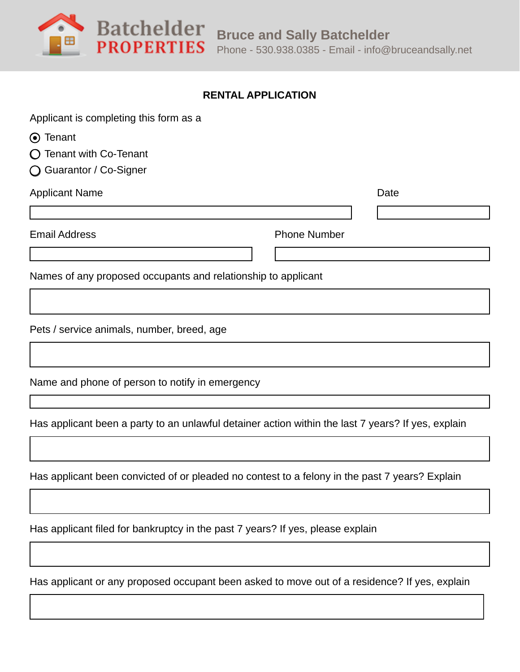**PROPERTIES** 

## **RENTAL APPLICATION**

| Applicant is completing this form as a                                                             |                     |  |
|----------------------------------------------------------------------------------------------------|---------------------|--|
| ⊙ Tenant                                                                                           |                     |  |
| Tenant with Co-Tenant                                                                              |                     |  |
| Guarantor / Co-Signer<br>( )                                                                       |                     |  |
| <b>Applicant Name</b>                                                                              | Date                |  |
|                                                                                                    |                     |  |
| <b>Email Address</b>                                                                               | <b>Phone Number</b> |  |
|                                                                                                    |                     |  |
| Names of any proposed occupants and relationship to applicant                                      |                     |  |
|                                                                                                    |                     |  |
| Pets / service animals, number, breed, age                                                         |                     |  |
|                                                                                                    |                     |  |
| Name and phone of person to notify in emergency                                                    |                     |  |
|                                                                                                    |                     |  |
| Has applicant been a party to an unlawful detainer action within the last 7 years? If yes, explain |                     |  |

Has applicant been convicted of or pleaded no contest to a felony in the past 7 years? Explain

Has applicant filed for bankruptcy in the past 7 years? If yes, please explain

Has applicant or any proposed occupant been asked to move out of a residence? If yes, explain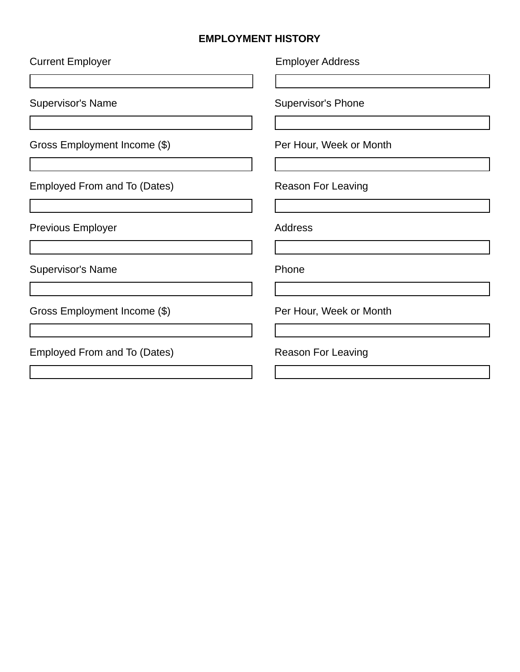## **EMPLOYMENT HISTORY**

| <b>Current Employer</b>             | <b>Employer Address</b>   |
|-------------------------------------|---------------------------|
|                                     |                           |
| <b>Supervisor's Name</b>            | <b>Supervisor's Phone</b> |
| Gross Employment Income (\$)        | Per Hour, Week or Month   |
|                                     |                           |
| Employed From and To (Dates)        | <b>Reason For Leaving</b> |
|                                     |                           |
| <b>Previous Employer</b>            | Address                   |
|                                     |                           |
| <b>Supervisor's Name</b>            | Phone                     |
|                                     |                           |
| Gross Employment Income (\$)        | Per Hour, Week or Month   |
|                                     |                           |
| <b>Employed From and To (Dates)</b> | <b>Reason For Leaving</b> |
|                                     |                           |